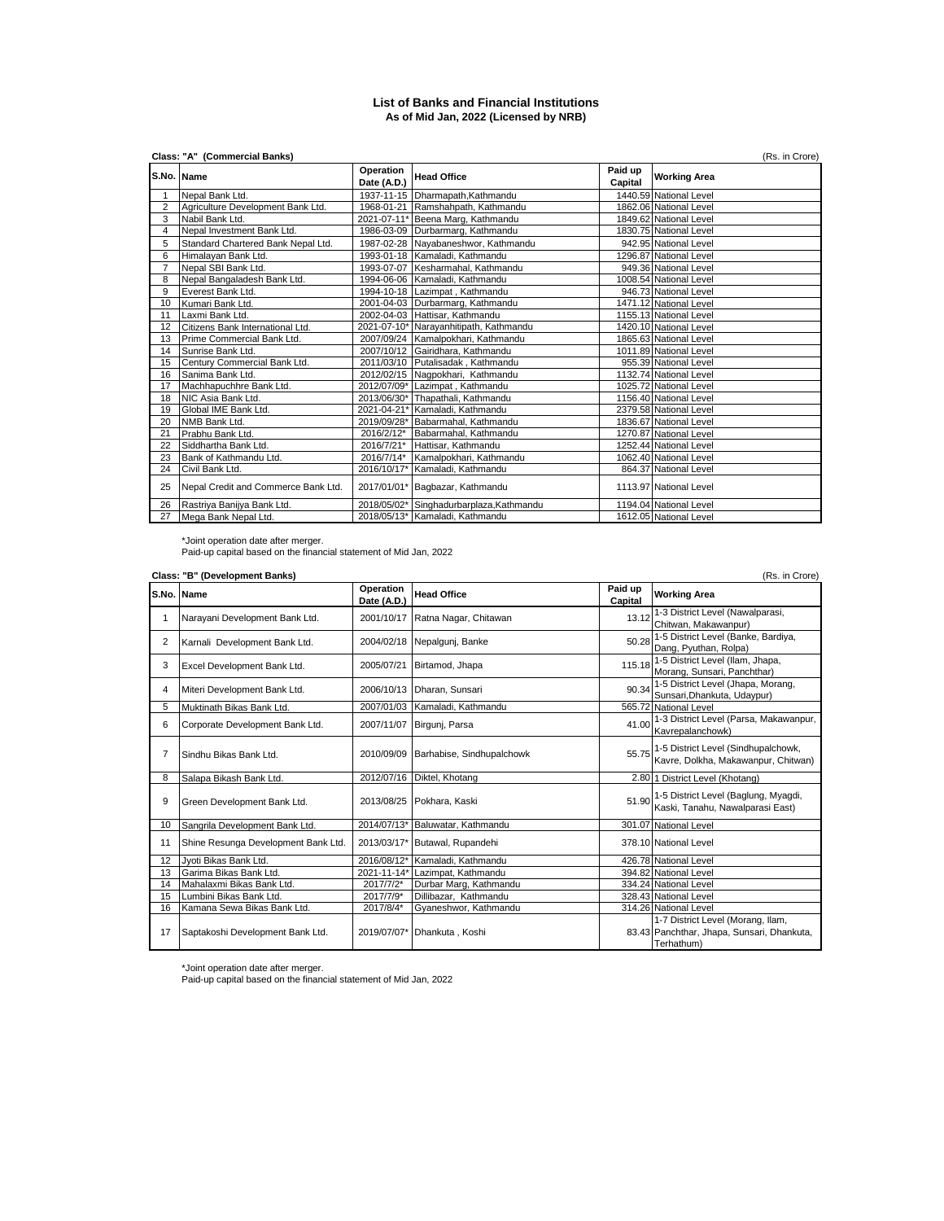## **List of Banks and Financial Institutions As of Mid Jan, 2022 (Licensed by NRB)**

|                | Class: "A" (Commercial Banks)<br>(Rs. in Crore) |                          |                                          |                    |                        |  |
|----------------|-------------------------------------------------|--------------------------|------------------------------------------|--------------------|------------------------|--|
|                | S.No. Name                                      | Operation<br>Date (A.D.) | <b>Head Office</b>                       | Paid up<br>Capital | <b>Working Area</b>    |  |
|                | Nepal Bank Ltd.                                 |                          | 1937-11-15 Dharmapath, Kathmandu         |                    | 1440.59 National Level |  |
| $\overline{2}$ | Agriculture Development Bank Ltd.               |                          | 1968-01-21 Ramshahpath, Kathmandu        |                    | 1862.06 National Level |  |
| 3              | Nabil Bank Ltd.                                 |                          | 2021-07-11* Beena Marg, Kathmandu        |                    | 1849.62 National Level |  |
| 4              | Nepal Investment Bank Ltd.                      |                          | 1986-03-09 Durbarmarg, Kathmandu         |                    | 1830.75 National Level |  |
| 5              | Standard Chartered Bank Nepal Ltd.              |                          | 1987-02-28 Nayabaneshwor, Kathmandu      |                    | 942.95 National Level  |  |
| 6              | Himalayan Bank Ltd.                             |                          | 1993-01-18 Kamaladi, Kathmandu           |                    | 1296.87 National Level |  |
| $\overline{7}$ | Nepal SBI Bank Ltd.                             |                          | 1993-07-07 Kesharmahal, Kathmandu        |                    | 949.36 National Level  |  |
| 8              | Nepal Bangaladesh Bank Ltd.                     |                          | 1994-06-06 Kamaladi, Kathmandu           |                    | 1008.54 National Level |  |
| 9              | Everest Bank Ltd.                               |                          | 1994-10-18 Lazimpat, Kathmandu           |                    | 946.73 National Level  |  |
| 10             | Kumari Bank Ltd.                                |                          | 2001-04-03 Durbarmarg, Kathmandu         |                    | 1471.12 National Level |  |
| 11             | Laxmi Bank Ltd.                                 |                          | 2002-04-03 Hattisar, Kathmandu           |                    | 1155.13 National Level |  |
| 12             | Citizens Bank International Ltd.                |                          | 2021-07-10* Narayanhitipath, Kathmandu   |                    | 1420.10 National Level |  |
| 13             | Prime Commercial Bank Ltd.                      |                          | 2007/09/24 Kamalpokhari, Kathmandu       |                    | 1865.63 National Level |  |
| 14             | Sunrise Bank Ltd.                               |                          | 2007/10/12 Gairidhara, Kathmandu         |                    | 1011.89 National Level |  |
| 15             | Century Commercial Bank Ltd.                    |                          | 2011/03/10 Putalisadak, Kathmandu        |                    | 955.39 National Level  |  |
| 16             | Sanima Bank Ltd.                                |                          | 2012/02/15 Nagpokhari, Kathmandu         |                    | 1132.74 National Level |  |
| 17             | Machhapuchhre Bank Ltd.                         |                          | 2012/07/09* Lazimpat, Kathmandu          |                    | 1025.72 National Level |  |
| 18             | NIC Asia Bank Ltd.                              |                          | 2013/06/30* Thapathali, Kathmandu        |                    | 1156.40 National Level |  |
| 19             | Global IME Bank Ltd.                            |                          | 2021-04-21* Kamaladi, Kathmandu          |                    | 2379.58 National Level |  |
| 20             | NMB Bank Ltd.                                   |                          | 2019/09/28* Babarmahal, Kathmandu        |                    | 1836.67 National Level |  |
| 21             | Prabhu Bank Ltd.                                | 2016/2/12*               | Babarmahal, Kathmandu                    |                    | 1270.87 National Level |  |
| 22             | Siddhartha Bank Ltd.                            |                          | 2016/7/21* Hattisar, Kathmandu           |                    | 1252.44 National Level |  |
| 23             | Bank of Kathmandu Ltd.                          |                          | 2016/7/14* Kamalpokhari, Kathmandu       |                    | 1062.40 National Level |  |
| 24             | Civil Bank Ltd.                                 |                          | 2016/10/17* Kamaladi, Kathmandu          |                    | 864.37 National Level  |  |
| 25             | Nepal Credit and Commerce Bank Ltd.             |                          | 2017/01/01* Bagbazar, Kathmandu          |                    | 1113.97 National Level |  |
| 26             | Rastriya Banijya Bank Ltd.                      |                          | 2018/05/02* Singhadurbarplaza, Kathmandu |                    | 1194.04 National Level |  |
| 27             | Mega Bank Nepal Ltd.                            |                          | 2018/05/13* Kamaladi, Kathmandu          |                    | 1612.05 National Level |  |

\*Joint operation date after merger. Paid-up capital based on the financial statement of Mid Jan, 2022

|                | Class: "B" (Development Banks)<br>(Rs. in Crore) |                          |                                  |                    |                                                                                               |  |
|----------------|--------------------------------------------------|--------------------------|----------------------------------|--------------------|-----------------------------------------------------------------------------------------------|--|
|                | S.No. Name                                       | Operation<br>Date (A.D.) | <b>Head Office</b>               | Paid up<br>Capital | <b>Working Area</b>                                                                           |  |
| 1              | Narayani Development Bank Ltd.                   |                          | 2001/10/17 Ratna Nagar, Chitawan | 13.12              | 1-3 District Level (Nawalparasi,<br>Chitwan, Makawanpur)                                      |  |
| $\overline{2}$ | Karnali Development Bank Ltd.                    |                          | 2004/02/18 Nepalgunj, Banke      |                    | 50.28 1-5 District Level (Banke, Bardiya,<br>Dang, Pyuthan, Rolpa)                            |  |
| 3              | Excel Development Bank Ltd.                      | 2005/07/21               | Birtamod, Jhapa                  | 115.18             | 1-5 District Level (Ilam, Jhapa,<br>Morang, Sunsari, Panchthar)                               |  |
| 4              | Miteri Development Bank Ltd.                     |                          | 2006/10/13 Dharan, Sunsari       |                    | 90.34 1-5 District Level (Jhapa, Morang,<br>Sunsari, Dhankuta, Udaypur)                       |  |
| 5              | Muktinath Bikas Bank Ltd.                        | 2007/01/03               | Kamaladi, Kathmandu              |                    | 565.72 National Level                                                                         |  |
| 6              | Corporate Development Bank Ltd.                  | 2007/11/07               | Birgunj, Parsa                   | 41.00              | 1-3 District Level (Parsa, Makawanpur,<br>Kavrepalanchowk)                                    |  |
| 7              | Sindhu Bikas Bank Ltd.                           | 2010/09/09               | Barhabise, Sindhupalchowk        |                    | 55.75 1-5 District Level (Sindhupalchowk,<br>Kavre, Dolkha, Makawanpur, Chitwan)              |  |
| 8              | Salapa Bikash Bank Ltd.                          | 2012/07/16               | Diktel, Khotang                  |                    | 2.80 1 District Level (Khotang)                                                               |  |
| 9              | Green Development Bank Ltd.                      |                          | 2013/08/25 Pokhara, Kaski        |                    | 51.90 1-5 District Level (Baglung, Myagdi,<br>Kaski, Tanahu, Nawalparasi East)                |  |
| 10             | Sangrila Development Bank Ltd.                   |                          | 2014/07/13* Baluwatar, Kathmandu |                    | 301.07 National Level                                                                         |  |
| 11             | Shine Resunga Development Bank Ltd.              |                          | 2013/03/17* Butawal, Rupandehi   |                    | 378.10 National Level                                                                         |  |
| 12             | Jvoti Bikas Bank Ltd.                            | 2016/08/12*              | Kamaladi, Kathmandu              |                    | 426.78 National Level                                                                         |  |
| 13             | Garima Bikas Bank Ltd.                           |                          | 2021-11-14* Lazimpat, Kathmandu  |                    | 394.82 National Level                                                                         |  |
| 14             | Mahalaxmi Bikas Bank Ltd.                        | 2017/7/2*                | Durbar Marg, Kathmandu           |                    | 334.24 National Level                                                                         |  |
| 15             | Lumbini Bikas Bank Ltd.                          | 2017/7/9*                | Dillibazar, Kathmandu            |                    | 328.43 National Level                                                                         |  |
| 16             | Kamana Sewa Bikas Bank Ltd.                      | 2017/8/4*                | Gyaneshwor, Kathmandu            |                    | 314.26 National Level                                                                         |  |
| 17             | Saptakoshi Development Bank Ltd.                 |                          | 2019/07/07* Dhankuta, Koshi      |                    | 1-7 District Level (Morang, Ilam,<br>83.43 Panchthar, Jhapa, Sunsari, Dhankuta,<br>Terhathum) |  |

\*Joint operation date after merger. Paid-up capital based on the financial statement of Mid Jan, 2022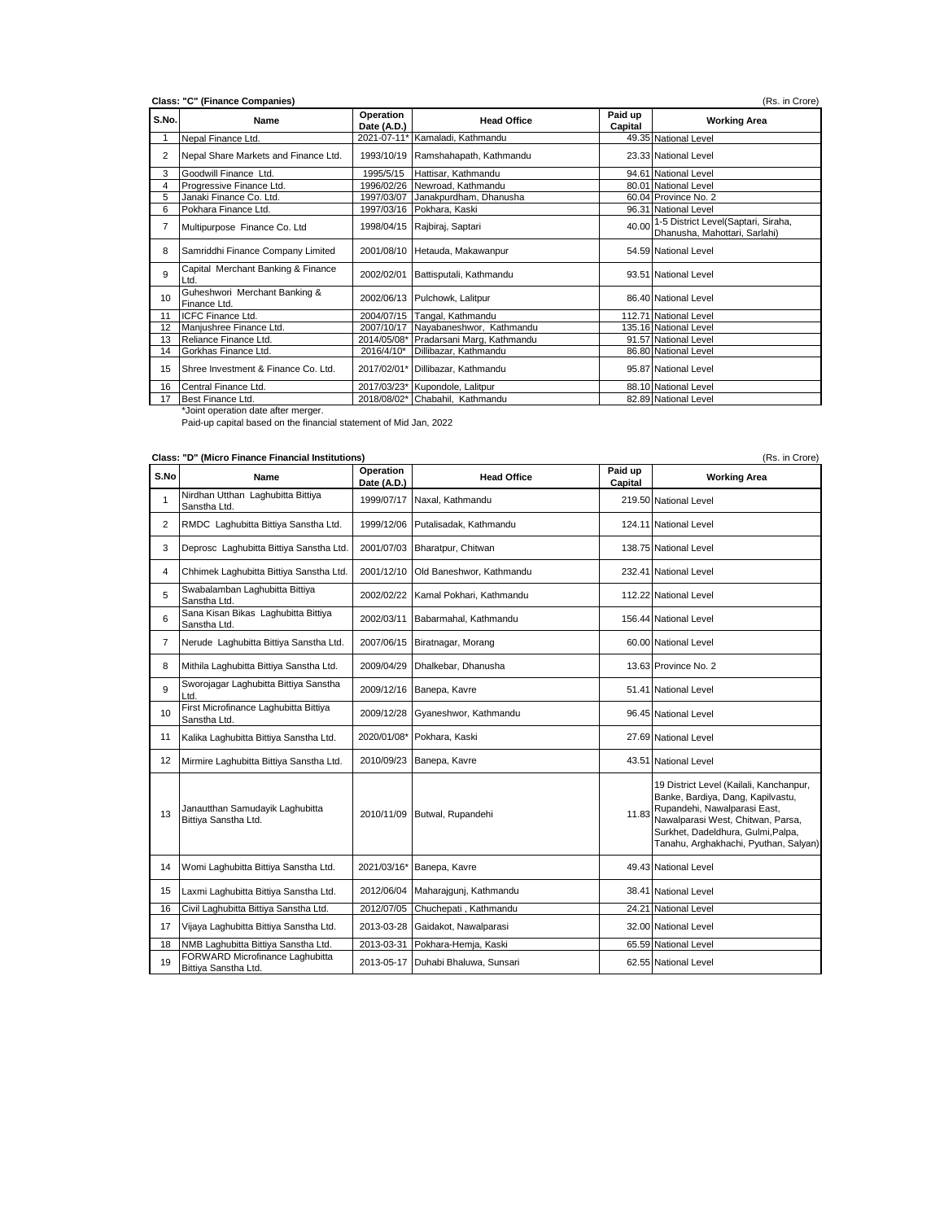| S.No. | Name                                          | Operation<br>Date (A.D.) | <b>Head Office</b>                     | Paid up<br>Capital | <b>Working Area</b>                                                        |
|-------|-----------------------------------------------|--------------------------|----------------------------------------|--------------------|----------------------------------------------------------------------------|
|       | Nepal Finance Ltd.                            |                          | 2021-07-11* Kamaladi, Kathmandu        |                    | 49.35 National Level                                                       |
| 2     | Nepal Share Markets and Finance Ltd.          |                          | 1993/10/19 Ramshahapath, Kathmandu     |                    | 23.33 National Level                                                       |
| 3     | Goodwill Finance Ltd.                         | 1995/5/15                | Hattisar, Kathmandu                    |                    | 94.61 National Level                                                       |
| 4     | Progressive Finance Ltd.                      | 1996/02/26               | Newroad, Kathmandu                     |                    | 80.01 National Level                                                       |
| 5     | Janaki Finance Co. Ltd.                       |                          | 1997/03/07 Janakpurdham, Dhanusha      |                    | 60.04 Province No. 2                                                       |
| 6     | Pokhara Finance Ltd.                          |                          | 1997/03/16 Pokhara, Kaski              |                    | 96.31 National Level                                                       |
| 7     | Multipurpose Finance Co. Ltd                  |                          | 1998/04/15 Rajbiraj, Saptari           |                    | 40.00 1-5 District Level(Saptari, Siraha,<br>Dhanusha, Mahottari, Sarlahi) |
| 8     | Samriddhi Finance Company Limited             |                          | 2001/08/10 Hetauda, Makawanpur         |                    | 54.59 National Level                                                       |
| 9     | Capital Merchant Banking & Finance<br>Ltd     | 2002/02/01               | Battisputali, Kathmandu                |                    | 93.51 National Level                                                       |
| 10    | Guheshwori Merchant Banking &<br>Finance Ltd. |                          | 2002/06/13 Pulchowk, Lalitpur          |                    | 86.40 National Level                                                       |
| 11    | <b>ICFC Finance Ltd.</b>                      |                          | 2004/07/15 Tangal, Kathmandu           |                    | 112.71 National Level                                                      |
| 12    | Manjushree Finance Ltd.                       |                          | 2007/10/17 Nayabaneshwor, Kathmandu    |                    | 135.16 National Level                                                      |
| 13    | Reliance Finance Ltd.                         |                          | 2014/05/08* Pradarsani Marg, Kathmandu |                    | 91.57 National Level                                                       |
| 14    | Gorkhas Finance Ltd.                          | 2016/4/10*               | Dillibazar, Kathmandu                  |                    | 86.80 National Level                                                       |
| 15    | Shree Investment & Finance Co. Ltd.           |                          | 2017/02/01* Dillibazar, Kathmandu      |                    | 95.87 National Level                                                       |
| 16    | Central Finance Ltd.                          |                          | 2017/03/23* Kupondole, Lalitpur        |                    | 88.10 National Level                                                       |
| 17    | Best Finance Ltd.                             |                          | 2018/08/02* Chabahil, Kathmandu        |                    | 82.89 National Level                                                       |

**Class: "D" (Micro Finance Financial Institutions)** (Rs. in Crore)

| S.No              | Name                                                    | Operation<br>Date (A.D.) | <b>Head Office</b>                 | Paid up<br>Capital | <b>Working Area</b>                                                                                                                                                                                                              |
|-------------------|---------------------------------------------------------|--------------------------|------------------------------------|--------------------|----------------------------------------------------------------------------------------------------------------------------------------------------------------------------------------------------------------------------------|
| 1                 | Nirdhan Utthan Laghubitta Bittiya<br>Sanstha Ltd.       | 1999/07/17               | Naxal, Kathmandu                   |                    | 219.50 National Level                                                                                                                                                                                                            |
| $\overline{2}$    | RMDC Laghubitta Bittiya Sanstha Ltd.                    | 1999/12/06               | Putalisadak, Kathmandu             |                    | 124.11 National Level                                                                                                                                                                                                            |
| 3                 | Deprosc Laghubitta Bittiya Sanstha Ltd.                 | 2001/07/03               | Bharatpur, Chitwan                 |                    | 138.75 National Level                                                                                                                                                                                                            |
| 4                 | Chhimek Laghubitta Bittiya Sanstha Ltd.                 | 2001/12/10               | Old Baneshwor, Kathmandu           |                    | 232.41 National Level                                                                                                                                                                                                            |
| 5                 | Swabalamban Laghubitta Bittiya<br>Sanstha Ltd.          | 2002/02/22               | Kamal Pokhari, Kathmandu           |                    | 112.22 National Level                                                                                                                                                                                                            |
| 6                 | Sana Kisan Bikas Laghubitta Bittiya<br>Sanstha Ltd.     | 2002/03/11               | Babarmahal, Kathmandu              |                    | 156.44 National Level                                                                                                                                                                                                            |
| $\overline{7}$    | Nerude Laghubitta Bittiya Sanstha Ltd.                  | 2007/06/15               | Biratnagar, Morang                 |                    | 60.00 National Level                                                                                                                                                                                                             |
| 8                 | Mithila Laghubitta Bittiya Sanstha Ltd.                 | 2009/04/29               | Dhalkebar, Dhanusha                |                    | 13.63 Province No. 2                                                                                                                                                                                                             |
| 9                 | Sworojagar Laghubitta Bittiya Sanstha<br>Ltd.           | 2009/12/16               | Banepa, Kavre                      |                    | 51.41 National Level                                                                                                                                                                                                             |
| 10                | First Microfinance Laghubitta Bittiya<br>Sanstha Ltd.   | 2009/12/28               | Gyaneshwor, Kathmandu              |                    | 96.45 National Level                                                                                                                                                                                                             |
| 11                | Kalika Laghubitta Bittiya Sanstha Ltd.                  | 2020/01/08*              | Pokhara, Kaski                     |                    | 27.69 National Level                                                                                                                                                                                                             |
| $12 \overline{ }$ | Mirmire Laghubitta Bittiya Sanstha Ltd.                 | 2010/09/23               | Banepa, Kavre                      |                    | 43.51 National Level                                                                                                                                                                                                             |
| 13                | Janautthan Samudayik Laghubitta<br>Bittiya Sanstha Ltd. | 2010/11/09               | Butwal, Rupandehi                  | 11.83              | 19 District Level (Kailali, Kanchanpur,<br>Banke, Bardiya, Dang, Kapilvastu,<br>Rupandehi, Nawalparasi East,<br>Nawalparasi West, Chitwan, Parsa,<br>Surkhet, Dadeldhura, Gulmi, Palpa,<br>Tanahu, Arghakhachi, Pyuthan, Salyan) |
| 14                | Womi Laghubitta Bittiya Sanstha Ltd.                    |                          | 2021/03/16* Banepa, Kavre          |                    | 49.43 National Level                                                                                                                                                                                                             |
| 15                | Laxmi Laghubitta Bittiya Sanstha Ltd.                   | 2012/06/04               | Maharajqunj, Kathmandu             |                    | 38.41 National Level                                                                                                                                                                                                             |
| 16                | Civil Laghubitta Bittiya Sanstha Ltd.                   | 2012/07/05               | Chuchepati, Kathmandu              |                    | 24.21 National Level                                                                                                                                                                                                             |
| 17                | Vijaya Laghubitta Bittiya Sanstha Ltd.                  |                          | 2013-03-28 Gaidakot, Nawalparasi   |                    | 32.00 National Level                                                                                                                                                                                                             |
| 18                | NMB Laghubitta Bittiya Sanstha Ltd.                     | 2013-03-31               | Pokhara-Hemja, Kaski               |                    | 65.59 National Level                                                                                                                                                                                                             |
| 19                | FORWARD Microfinance Laghubitta<br>Bittiya Sanstha Ltd. |                          | 2013-05-17 Duhabi Bhaluwa, Sunsari |                    | 62.55 National Level                                                                                                                                                                                                             |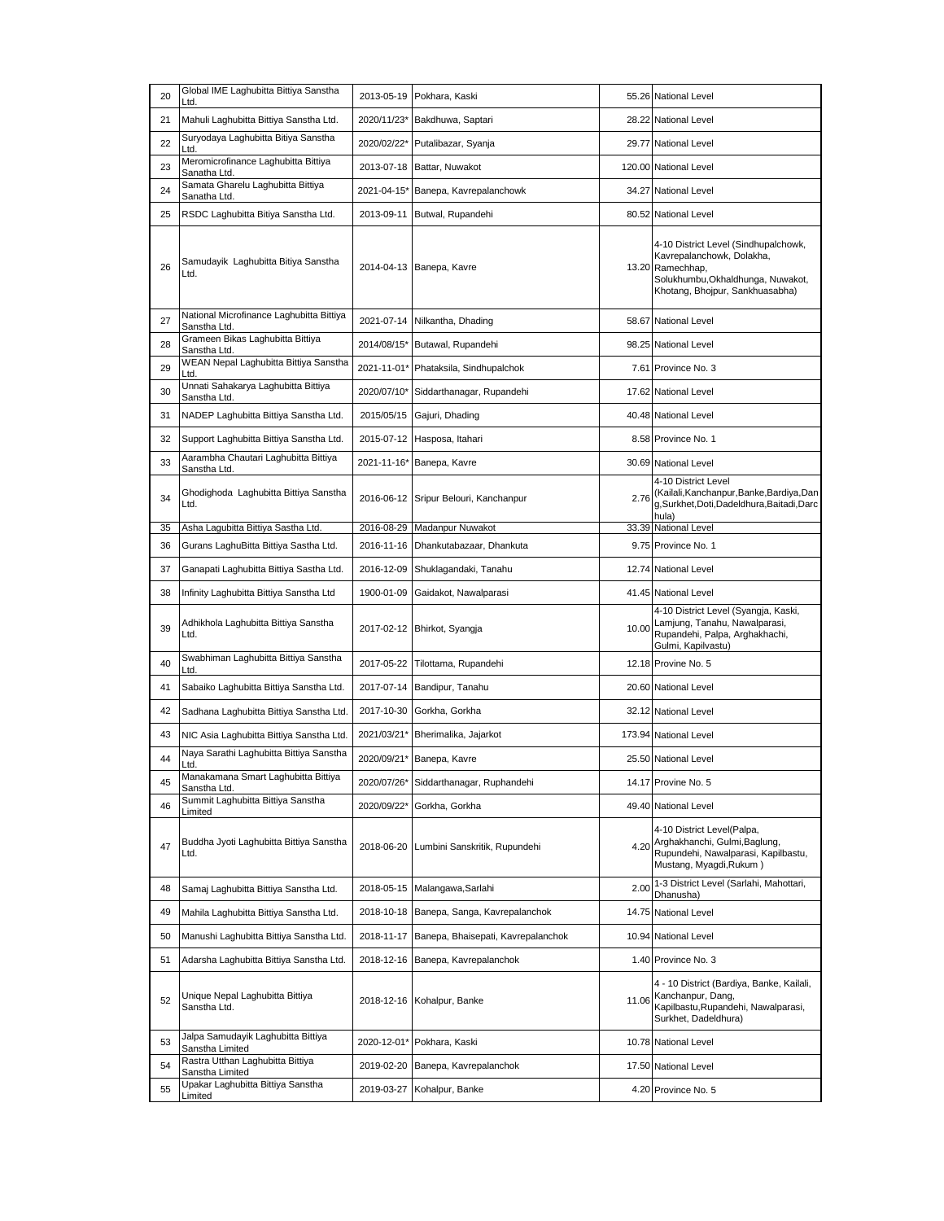| 20 | Global IME Laghubitta Bittiya Sanstha<br>Ltd.            | 2013-05-19  | Pokhara, Kaski                        |       | 55.26 National Level                                                                                                                                          |
|----|----------------------------------------------------------|-------------|---------------------------------------|-------|---------------------------------------------------------------------------------------------------------------------------------------------------------------|
| 21 | Mahuli Laghubitta Bittiya Sanstha Ltd.                   |             | 2020/11/23* Bakdhuwa, Saptari         |       | 28.22 National Level                                                                                                                                          |
| 22 | Suryodaya Laghubitta Bitiya Sanstha<br>Ltd.              | 2020/02/22* | Putalibazar, Syanja                   |       | 29.77 National Level                                                                                                                                          |
| 23 | Meromicrofinance Laghubitta Bittiya<br>Sanatha Ltd.      | 2013-07-18  | Battar, Nuwakot                       |       | 120.00 National Level                                                                                                                                         |
| 24 | Samata Gharelu Laghubitta Bittiya<br>Sanatha Ltd.        | 2021-04-15* | Banepa, Kavrepalanchowk               |       | 34.27 National Level                                                                                                                                          |
| 25 | RSDC Laghubitta Bitiya Sanstha Ltd.                      | 2013-09-11  | Butwal, Rupandehi                     |       | 80.52 National Level                                                                                                                                          |
| 26 | Samudayik Laghubitta Bitiya Sanstha<br>Ltd.              |             | 2014-04-13 Banepa, Kavre              |       | 4-10 District Level (Sindhupalchowk,<br>Kavrepalanchowk, Dolakha,<br>13.20 Ramechhap,<br>Solukhumbu, Okhaldhunga, Nuwakot,<br>Khotang, Bhojpur, Sankhuasabha) |
| 27 | National Microfinance Laghubitta Bittiya<br>Sanstha Ltd. |             | 2021-07-14 Nilkantha, Dhading         |       | 58.67 National Level                                                                                                                                          |
| 28 | Grameen Bikas Laghubitta Bittiya<br>Sanstha Ltd.         |             | 2014/08/15* Butawal, Rupandehi        |       | 98.25 National Level                                                                                                                                          |
| 29 | WEAN Nepal Laghubitta Bittiya Sanstha<br>Ltd.            | 2021-11-01* | Phataksila, Sindhupalchok             |       | 7.61 Province No. 3                                                                                                                                           |
| 30 | Unnati Sahakarya Laghubitta Bittiya<br>Sanstha Ltd.      | 2020/07/10* | Siddarthanagar, Rupandehi             |       | 17.62 National Level                                                                                                                                          |
| 31 | NADEP Laghubitta Bittiya Sanstha Ltd.                    | 2015/05/15  | Gajuri, Dhading                       |       | 40.48 National Level                                                                                                                                          |
| 32 | Support Laghubitta Bittiya Sanstha Ltd.                  |             | 2015-07-12 Hasposa, Itahari           |       | 8.58 Province No. 1                                                                                                                                           |
| 33 | Aarambha Chautari Laghubitta Bittiya<br>Sanstha Ltd.     |             | 2021-11-16* Banepa, Kavre             |       | 30.69 National Level                                                                                                                                          |
| 34 | Ghodighoda Laghubitta Bittiya Sanstha<br>Ltd.            |             | 2016-06-12 Sripur Belouri, Kanchanpur | 2.76  | 4-10 District Level<br>(Kailali, Kanchanpur, Banke, Bardiya, Dan<br>g,Surkhet,Doti,Dadeldhura,Baitadi,Darc<br>hula)                                           |
| 35 | Asha Lagubitta Bittiya Sastha Ltd.                       |             | 2016-08-29 Madanpur Nuwakot           |       | 33.39 National Level                                                                                                                                          |
| 36 | Gurans LaghuBitta Bittiya Sastha Ltd.                    |             | 2016-11-16 Dhankutabazaar, Dhankuta   |       | 9.75 Province No. 1                                                                                                                                           |
| 37 | Ganapati Laghubitta Bittiya Sastha Ltd.                  | 2016-12-09  | Shuklagandaki, Tanahu                 |       | 12.74 National Level                                                                                                                                          |
| 38 | Infinity Laghubitta Bittiya Sanstha Ltd                  | 1900-01-09  | Gaidakot, Nawalparasi                 |       | 41.45 National Level                                                                                                                                          |
| 39 | Adhikhola Laghubitta Bittiya Sanstha<br>Ltd.             |             | 2017-02-12 Bhirkot, Syangja           | 10.00 | 4-10 District Level (Syangja, Kaski,<br>Lamjung, Tanahu, Nawalparasi,<br>Rupandehi, Palpa, Arghakhachi,<br>Gulmi, Kapilvastu)                                 |
| 40 | Swabhiman Laghubitta Bittiya Sanstha<br>Ltd.             | 2017-05-22  | Tilottama, Rupandehi                  |       | 12.18 Provine No. 5                                                                                                                                           |
| 41 | Sabaiko Laghubitta Bittiya Sanstha Ltd.                  |             | 2017-07-14 Bandipur, Tanahu           |       | 20.60 National Level                                                                                                                                          |
| 42 | Sadhana Laghubitta Bittiya Sanstha Ltd.                  | 2017-10-30  | Gorkha, Gorkha                        |       | 32.12 National Level                                                                                                                                          |
| 43 | NIC Asia Laghubitta Bittiya Sanstha Ltd.                 | 2021/03/21* | Bherimalika, Jajarkot                 |       | 173.94 National Level                                                                                                                                         |
| 44 | Naya Sarathi Laghubitta Bittiya Sanstha<br>Ltd.          |             | 2020/09/21* Banepa, Kavre             |       | 25.50 National Level                                                                                                                                          |
| 45 | Manakamana Smart Laghubitta Bittiya<br>Sanstha Ltd.      | 2020/07/26* | Siddarthanagar, Ruphandehi            |       | 14.17 Provine No. 5                                                                                                                                           |
| 46 | Summit Laghubitta Bittiya Sanstha<br>Limited             | 2020/09/22* | Gorkha, Gorkha                        |       | 49.40 National Level                                                                                                                                          |
| 47 | Buddha Jyoti Laghubitta Bittiya Sanstha<br>Ltd.          | 2018-06-20  | Lumbini Sanskritik, Rupundehi         | 4.20  | 4-10 District Level(Palpa,<br>Arghakhanchi, Gulmi, Baglung,<br>Rupundehi, Nawalparasi, Kapilbastu,<br>Mustang, Myagdi, Rukum)                                 |
| 48 | Samaj Laghubitta Bittiya Sanstha Ltd.                    | 2018-05-15  | Malangawa, Sarlahi                    | 2.00  | 1-3 District Level (Sarlahi, Mahottari,<br>Dhanusha)                                                                                                          |
| 49 | Mahila Laghubitta Bittiya Sanstha Ltd.                   | 2018-10-18  | Banepa, Sanga, Kavrepalanchok         | 14.75 | <b>National Level</b>                                                                                                                                         |
| 50 | Manushi Laghubitta Bittiya Sanstha Ltd.                  | 2018-11-17  | Banepa, Bhaisepati, Kavrepalanchok    |       | 10.94 National Level                                                                                                                                          |
| 51 | Adarsha Laghubitta Bittiya Sanstha Ltd.                  | 2018-12-16  | Banepa, Kavrepalanchok                |       | 1.40 Province No. 3                                                                                                                                           |
| 52 | Unique Nepal Laghubitta Bittiya<br>Sanstha Ltd.          | 2018-12-16  | Kohalpur, Banke                       | 11.06 | 4 - 10 District (Bardiya, Banke, Kailali,<br>Kanchanpur, Dang,<br>Kapilbastu, Rupandehi, Nawalparasi,<br>Surkhet, Dadeldhura)                                 |
| 53 | Jalpa Samudayik Laghubitta Bittiya<br>Sanstha Limited    | 2020-12-01* | Pokhara, Kaski                        |       | 10.78 National Level                                                                                                                                          |
| 54 | Rastra Utthan Laghubitta Bittiya<br>Sanstha Limited      | 2019-02-20  | Banepa, Kavrepalanchok                |       | 17.50 National Level                                                                                                                                          |
| 55 | Upakar Laghubitta Bittiya Sanstha<br>Limited             | 2019-03-27  | Kohalpur, Banke                       |       | 4.20 Province No. 5                                                                                                                                           |